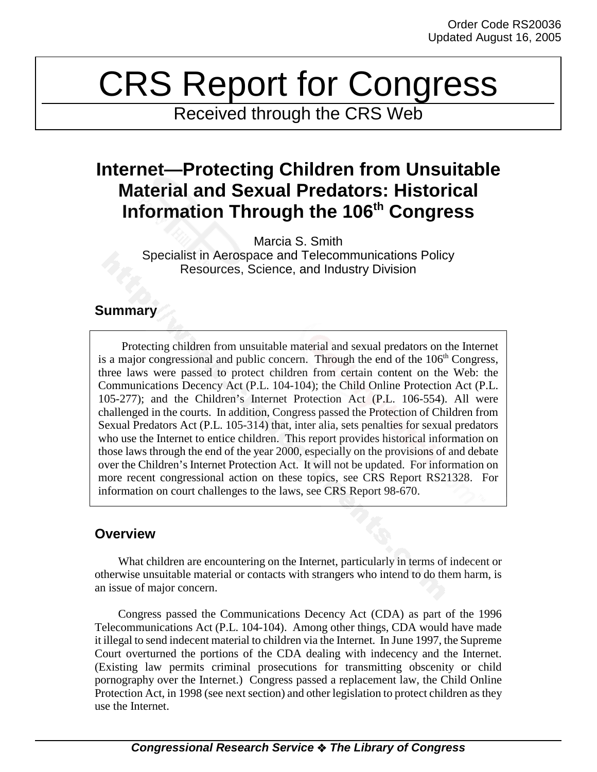# CRS Report for Congress

Received through the CRS Web

# **Internet—Protecting Children from Unsuitable Material and Sexual Predators: Historical Information Through the 106th Congress**

Marcia S. Smith Specialist in Aerospace and Telecommunications Policy Resources, Science, and Industry Division

## **Summary**

Protecting children from unsuitable material and sexual predators on the Internet is a major congressional and public concern. Through the end of the  $106<sup>th</sup>$  Congress, three laws were passed to protect children from certain content on the Web: the Communications Decency Act (P.L. 104-104); the Child Online Protection Act (P.L. 105-277); and the Children's Internet Protection Act (P.L. 106-554). All were challenged in the courts. In addition, Congress passed the Protection of Children from Sexual Predators Act (P.L. 105-314) that, inter alia, sets penalties for sexual predators who use the Internet to entice children. This report provides historical information on those laws through the end of the year 2000, especially on the provisions of and debate over the Children's Internet Protection Act. It will not be updated. For information on more recent congressional action on these topics, see CRS Report RS21328. For information on court challenges to the laws, see CRS Report 98-670.

# **Overview**

What children are encountering on the Internet, particularly in terms of indecent or otherwise unsuitable material or contacts with strangers who intend to do them harm, is an issue of major concern.

Congress passed the Communications Decency Act (CDA) as part of the 1996 Telecommunications Act (P.L. 104-104). Among other things, CDA would have made it illegal to send indecent material to children via the Internet*.* In June 1997, the Supreme Court overturned the portions of the CDA dealing with indecency and the Internet. (Existing law permits criminal prosecutions for transmitting obscenity or child pornography over the Internet.) Congress passed a replacement law, the Child Online Protection Act, in 1998 (see next section) and other legislation to protect children as they use the Internet.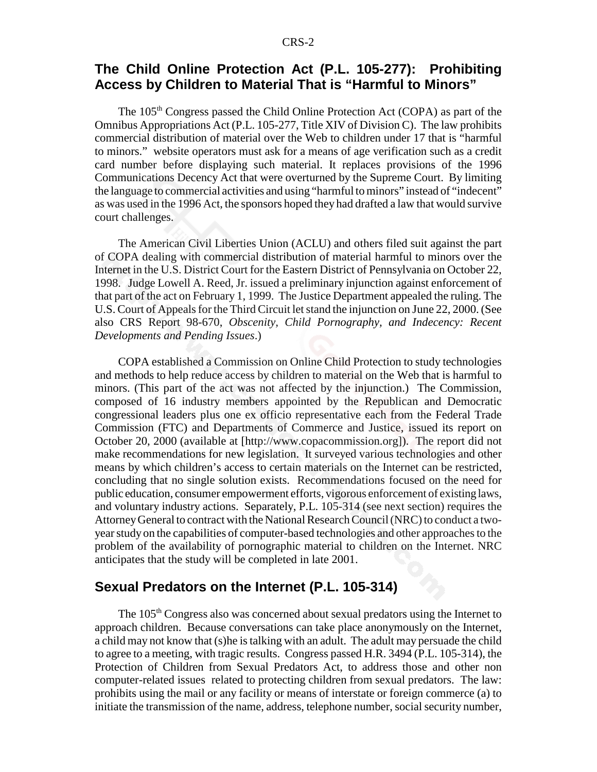### **The Child Online Protection Act (P.L. 105-277): Prohibiting Access by Children to Material That is "Harmful to Minors"**

The 105<sup>th</sup> Congress passed the Child Online Protection Act (COPA) as part of the Omnibus Appropriations Act (P.L. 105-277, Title XIV of Division C). The law prohibits commercial distribution of material over the Web to children under 17 that is "harmful to minors." website operators must ask for a means of age verification such as a credit card number before displaying such material. It replaces provisions of the 1996 Communications Decency Act that were overturned by the Supreme Court. By limiting the language to commercial activities and using "harmful to minors" instead of "indecent" as was used in the 1996 Act, the sponsors hoped they had drafted a law that would survive court challenges.

The American Civil Liberties Union (ACLU) and others filed suit against the part of COPA dealing with commercial distribution of material harmful to minors over the Internet in the U.S. District Court for the Eastern District of Pennsylvania on October 22, 1998. Judge Lowell A. Reed, Jr. issued a preliminary injunction against enforcement of that part of the act on February 1, 1999. The Justice Department appealed the ruling. The U.S. Court of Appeals for the Third Circuit let stand the injunction on June 22, 2000. (See also CRS Report 98-670, *Obscenity, Child Pornography, and Indecency: Recent Developments and Pending Issues*.)

COPA established a Commission on Online Child Protection to study technologies and methods to help reduce access by children to material on the Web that is harmful to minors. (This part of the act was not affected by the injunction.) The Commission, composed of 16 industry members appointed by the Republican and Democratic congressional leaders plus one ex officio representative each from the Federal Trade Commission (FTC) and Departments of Commerce and Justice, issued its report on October 20, 2000 (available at [http://www.copacommission.org]). The report did not make recommendations for new legislation. It surveyed various technologies and other means by which children's access to certain materials on the Internet can be restricted, concluding that no single solution exists. Recommendations focused on the need for public education, consumer empowerment efforts, vigorous enforcement of existing laws, and voluntary industry actions. Separately, P.L. 105-314 (see next section) requires the Attorney General to contract with the National Research Council (NRC) to conduct a twoyear study on the capabilities of computer-based technologies and other approaches to the problem of the availability of pornographic material to children on the Internet. NRC anticipates that the study will be completed in late 2001.

#### **Sexual Predators on the Internet (P.L. 105-314)**

The 105<sup>th</sup> Congress also was concerned about sexual predators using the Internet to approach children. Because conversations can take place anonymously on the Internet, a child may not know that (s)he is talking with an adult. The adult may persuade the child to agree to a meeting, with tragic results. Congress passed H.R. 3494 (P.L. 105-314), the Protection of Children from Sexual Predators Act, to address those and other non computer-related issues related to protecting children from sexual predators. The law: prohibits using the mail or any facility or means of interstate or foreign commerce (a) to initiate the transmission of the name, address, telephone number, social security number,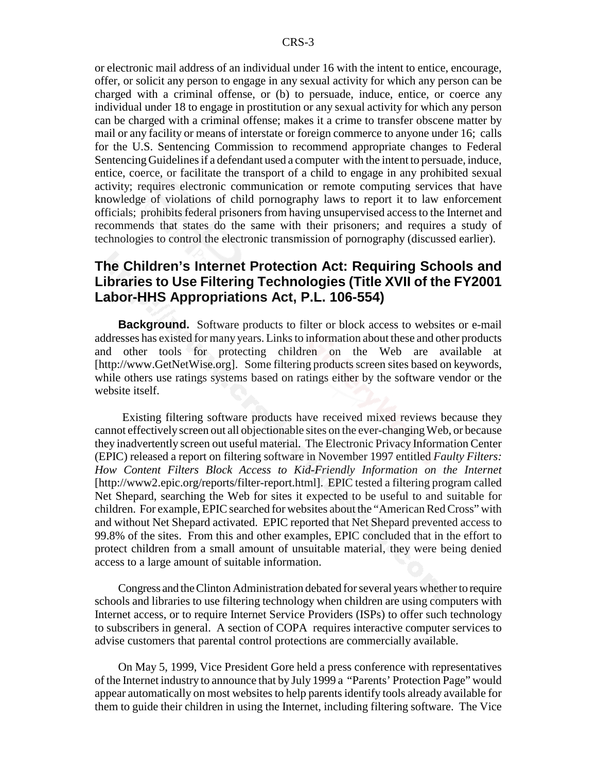or electronic mail address of an individual under 16 with the intent to entice, encourage, offer, or solicit any person to engage in any sexual activity for which any person can be charged with a criminal offense, or (b) to persuade, induce, entice, or coerce any individual under 18 to engage in prostitution or any sexual activity for which any person can be charged with a criminal offense; makes it a crime to transfer obscene matter by mail or any facility or means of interstate or foreign commerce to anyone under 16; calls for the U.S. Sentencing Commission to recommend appropriate changes to Federal Sentencing Guidelines if a defendant used a computer with the intent to persuade, induce, entice, coerce, or facilitate the transport of a child to engage in any prohibited sexual activity; requires electronic communication or remote computing services that have knowledge of violations of child pornography laws to report it to law enforcement officials; prohibits federal prisoners from having unsupervised access to the Internet and recommends that states do the same with their prisoners; and requires a study of technologies to control the electronic transmission of pornography (discussed earlier).

### **The Children's Internet Protection Act: Requiring Schools and Libraries to Use Filtering Technologies (Title XVII of the FY2001 Labor-HHS Appropriations Act, P.L. 106-554)**

**Background.** Software products to filter or block access to websites or e-mail addresses has existed for many years. Links to information about these and other products and other tools for protecting children on the Web are available at [http://www.GetNetWise.org]. Some filtering products screen sites based on keywords, while others use ratings systems based on ratings either by the software vendor or the website itself.

 Existing filtering software products have received mixed reviews because they cannot effectively screen out all objectionable sites on the ever-changing Web, or because they inadvertently screen out useful material. The Electronic Privacy Information Center (EPIC) released a report on filtering software in November 1997 entitled *Faulty Filters: How Content Filters Block Access to Kid-Friendly Information on the Internet* [http://www2.epic.org/reports/filter-report.html]. EPIC tested a filtering program called Net Shepard, searching the Web for sites it expected to be useful to and suitable for children. For example, EPIC searched for websites about the "American Red Cross" with and without Net Shepard activated. EPIC reported that Net Shepard prevented access to 99.8% of the sites. From this and other examples, EPIC concluded that in the effort to protect children from a small amount of unsuitable material, they were being denied access to a large amount of suitable information.

Congress and the Clinton Administration debated for several years whether to require schools and libraries to use filtering technology when children are using computers with Internet access, or to require Internet Service Providers (ISPs) to offer such technology to subscribers in general. A section of COPA requires interactive computer services to advise customers that parental control protections are commercially available.

On May 5, 1999, Vice President Gore held a press conference with representatives of the Internet industry to announce that by July 1999 a "Parents' Protection Page" would appear automatically on most websites to help parents identify tools already available for them to guide their children in using the Internet, including filtering software. The Vice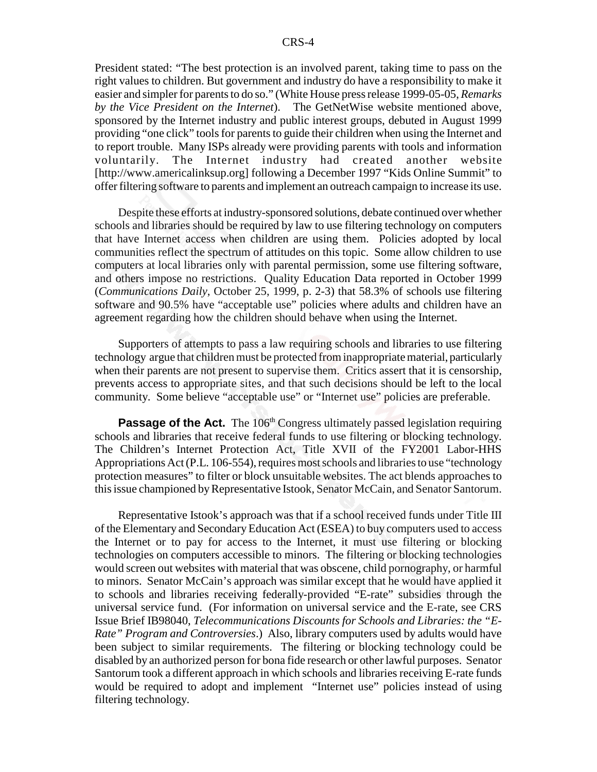President stated: "The best protection is an involved parent, taking time to pass on the right values to children. But government and industry do have a responsibility to make it easier and simpler for parents to do so." (White House press release 1999-05-05, *Remarks by the Vice President on the Internet*). The GetNetWise website mentioned above, sponsored by the Internet industry and public interest groups, debuted in August 1999 providing "one click" tools for parents to guide their children when using the Internet and to report trouble. Many ISPs already were providing parents with tools and information voluntarily. The Internet industry had created another website [http://www.americalinksup.org] following a December 1997 "Kids Online Summit" to offer filtering software to parents and implement an outreach campaign to increase its use.

Despite these efforts at industry-sponsored solutions, debate continued over whether schools and libraries should be required by law to use filtering technology on computers that have Internet access when children are using them. Policies adopted by local communities reflect the spectrum of attitudes on this topic. Some allow children to use computers at local libraries only with parental permission, some use filtering software, and others impose no restrictions. Quality Education Data reported in October 1999 (*Communications Daily*, October 25, 1999, p. 2-3) that 58.3% of schools use filtering software and 90.5% have "acceptable use" policies where adults and children have an agreement regarding how the children should behave when using the Internet.

Supporters of attempts to pass a law requiring schools and libraries to use filtering technology argue that children must be protected from inappropriate material, particularly when their parents are not present to supervise them. Critics assert that it is censorship, prevents access to appropriate sites, and that such decisions should be left to the local community. Some believe "acceptable use" or "Internet use" policies are preferable.

**Passage of the Act.** The 106<sup>th</sup> Congress ultimately passed legislation requiring schools and libraries that receive federal funds to use filtering or blocking technology. The Children's Internet Protection Act, Title XVII of the FY2001 Labor-HHS Appropriations Act (P.L. 106-554), requires most schools and libraries to use "technology protection measures" to filter or block unsuitable websites. The act blends approaches to this issue championed by Representative Istook, Senator McCain, and Senator Santorum.

Representative Istook's approach was that if a school received funds under Title III of the Elementary and Secondary Education Act (ESEA) to buy computers used to access the Internet or to pay for access to the Internet, it must use filtering or blocking technologies on computers accessible to minors. The filtering or blocking technologies would screen out websites with material that was obscene, child pornography, or harmful to minors. Senator McCain's approach was similar except that he would have applied it to schools and libraries receiving federally-provided "E-rate" subsidies through the universal service fund. (For information on universal service and the E-rate, see CRS Issue Brief IB98040, *Telecommunications Discounts for Schools and Libraries: the "E-Rate" Program and Controversies*.) Also, library computers used by adults would have been subject to similar requirements. The filtering or blocking technology could be disabled by an authorized person for bona fide research or other lawful purposes. Senator Santorum took a different approach in which schools and libraries receiving E-rate funds would be required to adopt and implement "Internet use" policies instead of using filtering technology.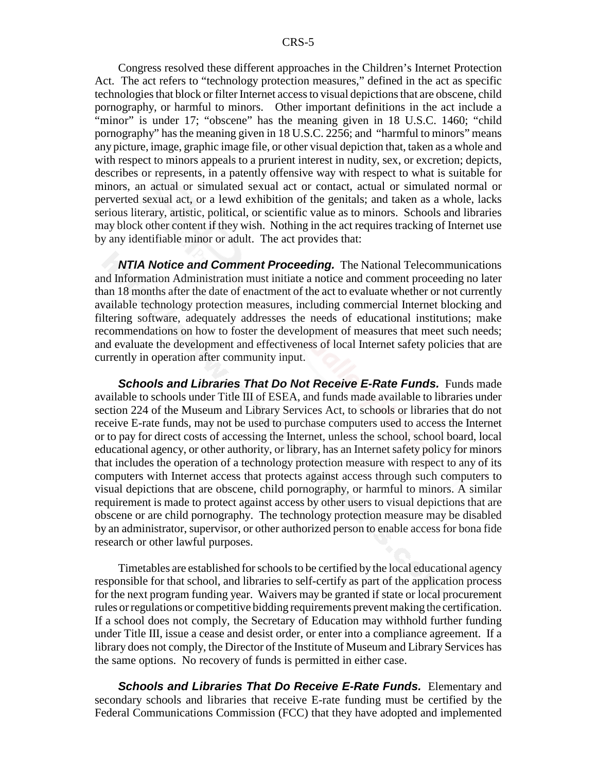Congress resolved these different approaches in the Children's Internet Protection Act. The act refers to "technology protection measures," defined in the act as specific technologies that block or filter Internet access to visual depictions that are obscene, child pornography, or harmful to minors. Other important definitions in the act include a "minor" is under 17; "obscene" has the meaning given in 18 U.S.C. 1460; "child pornography" has the meaning given in 18 U.S.C. 2256; and "harmful to minors" means any picture, image, graphic image file, or other visual depiction that, taken as a whole and with respect to minors appeals to a prurient interest in nudity, sex, or excretion; depicts, describes or represents, in a patently offensive way with respect to what is suitable for minors, an actual or simulated sexual act or contact, actual or simulated normal or perverted sexual act, or a lewd exhibition of the genitals; and taken as a whole, lacks serious literary, artistic, political, or scientific value as to minors. Schools and libraries may block other content if they wish. Nothing in the act requires tracking of Internet use by any identifiable minor or adult. The act provides that:

*NTIA Notice and Comment Proceeding.* The National Telecommunications and Information Administration must initiate a notice and comment proceeding no later than 18 months after the date of enactment of the act to evaluate whether or not currently available technology protection measures, including commercial Internet blocking and filtering software, adequately addresses the needs of educational institutions; make recommendations on how to foster the development of measures that meet such needs; and evaluate the development and effectiveness of local Internet safety policies that are currently in operation after community input.

*Schools and Libraries That Do Not Receive E-Rate Funds.* Funds made available to schools under Title III of ESEA, and funds made available to libraries under section 224 of the Museum and Library Services Act, to schools or libraries that do not receive E-rate funds, may not be used to purchase computers used to access the Internet or to pay for direct costs of accessing the Internet, unless the school, school board, local educational agency, or other authority, or library, has an Internet safety policy for minors that includes the operation of a technology protection measure with respect to any of its computers with Internet access that protects against access through such computers to visual depictions that are obscene, child pornography, or harmful to minors. A similar requirement is made to protect against access by other users to visual depictions that are obscene or are child pornography. The technology protection measure may be disabled by an administrator, supervisor, or other authorized person to enable access for bona fide research or other lawful purposes.

Timetables are established for schools to be certified by the local educational agency responsible for that school, and libraries to self-certify as part of the application process for the next program funding year. Waivers may be granted if state or local procurement rules or regulations or competitive bidding requirements prevent making the certification. If a school does not comply, the Secretary of Education may withhold further funding under Title III, issue a cease and desist order, or enter into a compliance agreement. If a library does not comply, the Director of the Institute of Museum and Library Services has the same options. No recovery of funds is permitted in either case.

*Schools and Libraries That Do Receive E-Rate Funds.* Elementary and secondary schools and libraries that receive E-rate funding must be certified by the Federal Communications Commission (FCC) that they have adopted and implemented